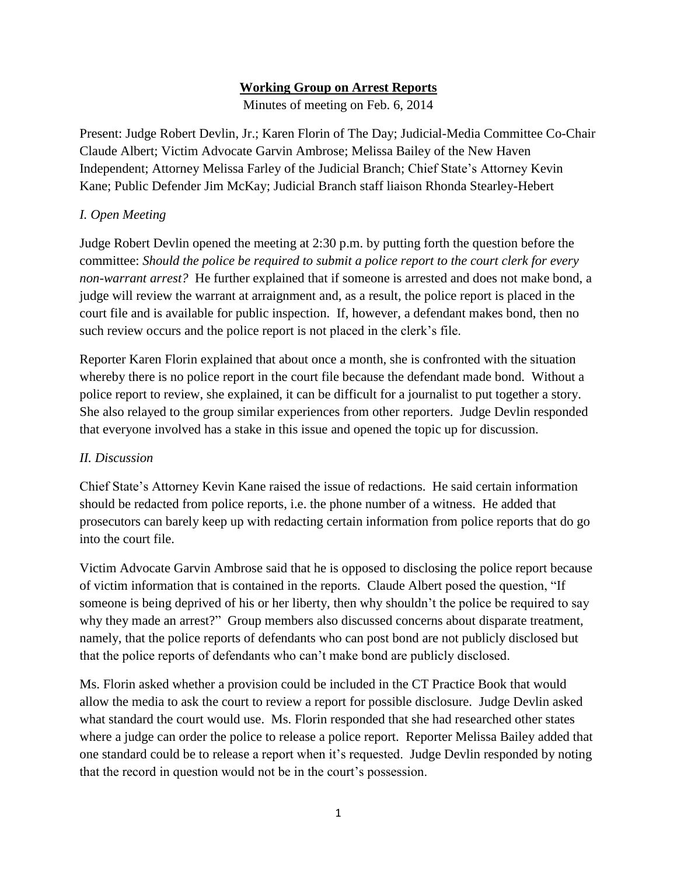## **Working Group on Arrest Reports**

Minutes of meeting on Feb. 6, 2014

Present: Judge Robert Devlin, Jr.; Karen Florin of The Day; Judicial-Media Committee Co-Chair Claude Albert; Victim Advocate Garvin Ambrose; Melissa Bailey of the New Haven Independent; Attorney Melissa Farley of the Judicial Branch; Chief State's Attorney Kevin Kane; Public Defender Jim McKay; Judicial Branch staff liaison Rhonda Stearley-Hebert

## *I. Open Meeting*

Judge Robert Devlin opened the meeting at 2:30 p.m. by putting forth the question before the committee: *Should the police be required to submit a police report to the court clerk for every non-warrant arrest?* He further explained that if someone is arrested and does not make bond, a judge will review the warrant at arraignment and, as a result, the police report is placed in the court file and is available for public inspection. If, however, a defendant makes bond, then no such review occurs and the police report is not placed in the clerk's file.

Reporter Karen Florin explained that about once a month, she is confronted with the situation whereby there is no police report in the court file because the defendant made bond. Without a police report to review, she explained, it can be difficult for a journalist to put together a story. She also relayed to the group similar experiences from other reporters. Judge Devlin responded that everyone involved has a stake in this issue and opened the topic up for discussion.

## *II. Discussion*

Chief State's Attorney Kevin Kane raised the issue of redactions. He said certain information should be redacted from police reports, i.e. the phone number of a witness. He added that prosecutors can barely keep up with redacting certain information from police reports that do go into the court file.

Victim Advocate Garvin Ambrose said that he is opposed to disclosing the police report because of victim information that is contained in the reports. Claude Albert posed the question, "If someone is being deprived of his or her liberty, then why shouldn't the police be required to say why they made an arrest?" Group members also discussed concerns about disparate treatment, namely, that the police reports of defendants who can post bond are not publicly disclosed but that the police reports of defendants who can't make bond are publicly disclosed.

Ms. Florin asked whether a provision could be included in the CT Practice Book that would allow the media to ask the court to review a report for possible disclosure. Judge Devlin asked what standard the court would use. Ms. Florin responded that she had researched other states where a judge can order the police to release a police report. Reporter Melissa Bailey added that one standard could be to release a report when it's requested. Judge Devlin responded by noting that the record in question would not be in the court's possession.